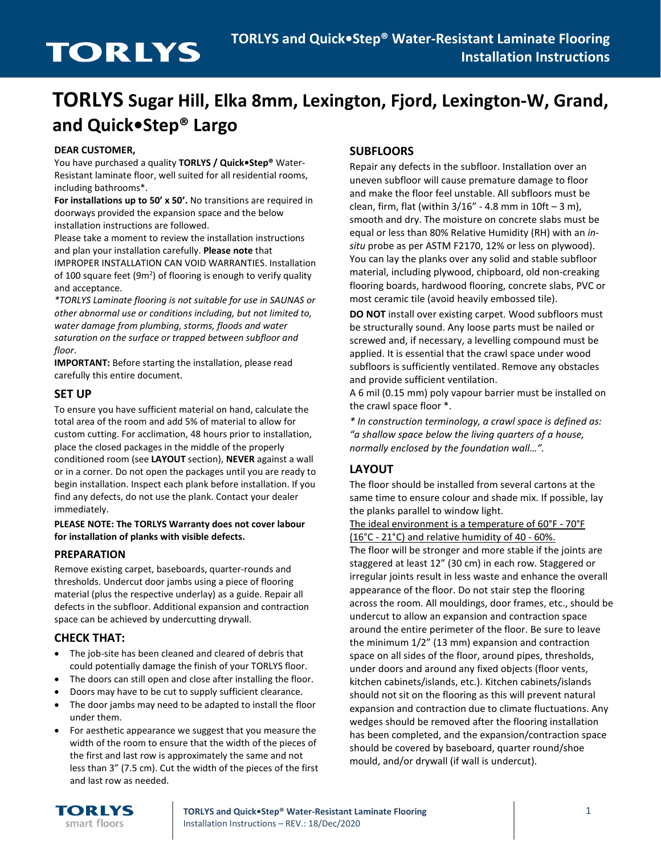# **TORLYS Sugar Hill, Elka 8mm, Lexington, Fjord, Lexington-W, Grand, and Quick•Step® Largo**

#### **DEAR CUSTOMER,**

You have purchased a quality **TORLYS / Quick•Step®** Water-Resistant laminate floor, well suited for all residential rooms, including bathrooms\*.

**For installations up to 50' x 50'.** No transitions are required in doorways provided the expansion space and the below installation instructions are followed.

Please take a moment to review the installation instructions and plan your installation carefully. **Please note** that IMPROPER INSTALLATION CAN VOID WARRANTIES. Installation of 100 square feet (9 $m<sup>2</sup>$ ) of flooring is enough to verify quality and acceptance.

*\*TORLYS Laminate flooring is not suitable for use in SAUNAS or other abnormal use or conditions including, but not limited to, water damage from plumbing, storms, floods and water saturation on the surface or trapped between subfloor and floor*.

**IMPORTANT:** Before starting the installation, please read carefully this entire document.

### **SET UP**

To ensure you have sufficient material on hand, calculate the total area of the room and add 5% of material to allow for custom cutting. For acclimation, 48 hours prior to installation, place the closed packages in the middle of the properly conditioned room (see **LAYOUT** section), **NEVER** against a wall or in a corner. Do not open the packages until you are ready to begin installation. Inspect each plank before installation. If you find any defects, do not use the plank. Contact your dealer immediately.

**PLEASE NOTE: The TORLYS Warranty does not cover labour for installation of planks with visible defects.**

#### **PREPARATION**

Remove existing carpet, baseboards, quarter-rounds and thresholds. Undercut door jambs using a piece of flooring material (plus the respective underlay) as a guide. Repair all defects in the subfloor. Additional expansion and contraction space can be achieved by undercutting drywall.

# **CHECK THAT:**

- The job-site has been cleaned and cleared of debris that could potentially damage the finish of your TORLYS floor.
- The doors can still open and close after installing the floor.
- Doors may have to be cut to supply sufficient clearance.
- The door jambs may need to be adapted to install the floor under them.
- For aesthetic appearance we suggest that you measure the width of the room to ensure that the width of the pieces of the first and last row is approximately the same and not less than 3" (7.5 cm). Cut the width of the pieces of the first and last row as needed.

# **SUBFLOORS**

Repair any defects in the subfloor. Installation over an uneven subfloor will cause premature damage to floor and make the floor feel unstable. All subfloors must be clean, firm, flat (within  $3/16"$  - 4.8 mm in  $10ft - 3$  m), smooth and dry. The moisture on concrete slabs must be equal or less than 80% Relative Humidity (RH) with an *insitu* probe as per ASTM F2170, 12% or less on plywood). You can lay the planks over any solid and stable subfloor material, including plywood, chipboard, old non-creaking flooring boards, hardwood flooring, concrete slabs, PVC or most ceramic tile (avoid heavily embossed tile).

**DO NOT** install over existing carpet. Wood subfloors must be structurally sound. Any loose parts must be nailed or screwed and, if necessary, a levelling compound must be applied. It is essential that the crawl space under wood subfloors is sufficiently ventilated. Remove any obstacles and provide sufficient ventilation.

A 6 mil (0.15 mm) poly vapour barrier must be installed on the crawl space floor \*.

*\* In construction terminology, a crawl space is defined as: "a shallow space below the living quarters of a house, normally enclosed by the foundation wall…".*

# **LAYOUT**

The floor should be installed from several cartons at the same time to ensure colour and shade mix. If possible, lay the planks parallel to window light.

The ideal environment is a temperature of 60°F - 70°F (16°C - 21°C) and relative humidity of 40 - 60%. The floor will be stronger and more stable if the joints are staggered at least 12" (30 cm) in each row. Staggered or irregular joints result in less waste and enhance the overall appearance of the floor. Do not stair step the flooring across the room. All mouldings, door frames, etc., should be undercut to allow an expansion and contraction space around the entire perimeter of the floor. Be sure to leave the minimum 1/2" (13 mm) expansion and contraction space on all sides of the floor, around pipes, thresholds, under doors and around any fixed objects (floor vents, kitchen cabinets/islands, etc.). Kitchen cabinets/islands should not sit on the flooring as this will prevent natural expansion and contraction due to climate fluctuations. Any wedges should be removed after the flooring installation has been completed, and the expansion/contraction space should be covered by baseboard, quarter round/shoe mould, and/or drywall (if wall is undercut).

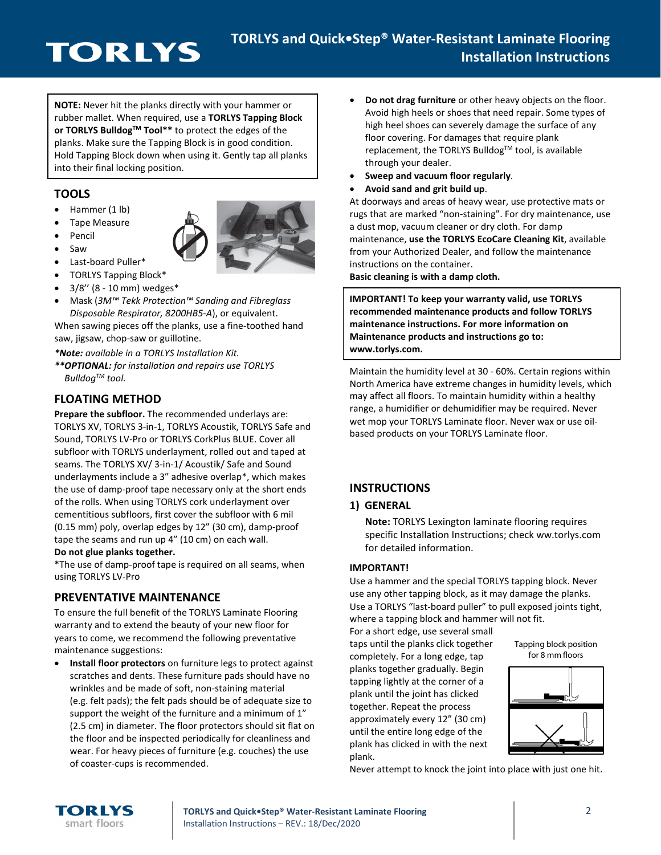# **TORLYS**

**NOTE:** Never hit the planks directly with your hammer or rubber mallet. When required, use a **TORLYS Tapping Block or TORLYS BulldogTM Tool\*\*** to protect the edges of the planks. Make sure the Tapping Block is in good condition. Hold Tapping Block down when using it. Gently tap all planks into their final locking position.

# **TOOLS**

- Hammer (1 lb)
- Tape Measure
- **Pencil**
- Saw



- Last-board Puller\* • TORLYS Tapping Block\*
- 3/8'' (8 10 mm) wedges\*
- Mask (*3M™ Tekk Protection™ Sanding and Fibreglass Disposable Respirator, 8200HB5-A*), or equivalent.

When sawing pieces off the planks, use a fine-toothed hand saw, jigsaw, chop-saw or guillotine.

*\*Note: available in a TORLYS Installation Kit.*

*\*\*OPTIONAL: for installation and repairs use TORLYS BulldogTM tool.*

# **FLOATING METHOD**

**Prepare the subfloor.** The recommended underlays are: TORLYS XV, TORLYS 3-in-1, TORLYS Acoustik, TORLYS Safe and Sound, TORLYS LV-Pro or TORLYS CorkPlus BLUE. Cover all subfloor with TORLYS underlayment, rolled out and taped at seams. The TORLYS XV/ 3-in-1/ Acoustik/ Safe and Sound underlayments include a 3" adhesive overlap\*, which makes the use of damp-proof tape necessary only at the short ends of the rolls. When using TORLYS cork underlayment over cementitious subfloors, first cover the subfloor with 6 mil (0.15 mm) poly, overlap edges by 12" (30 cm), damp-proof tape the seams and run up 4" (10 cm) on each wall.

#### **Do not glue planks together.**

\*The use of damp-proof tape is required on all seams, when using TORLYS LV-Pro

# **PREVENTATIVE MAINTENANCE**

To ensure the full benefit of the TORLYS Laminate Flooring warranty and to extend the beauty of your new floor for years to come, we recommend the following preventative maintenance suggestions:

• **Install floor protectors** on furniture legs to protect against scratches and dents. These furniture pads should have no wrinkles and be made of soft, non-staining material (e.g. felt pads); the felt pads should be of adequate size to support the weight of the furniture and a minimum of 1" (2.5 cm) in diameter. The floor protectors should sit flat on the floor and be inspected periodically for cleanliness and wear. For heavy pieces of furniture (e.g. couches) the use of coaster-cups is recommended.

- **Do not drag furniture** or other heavy objects on the floor. Avoid high heels or shoes that need repair. Some types of high heel shoes can severely damage the surface of any floor covering. For damages that require plank replacement, the TORLYS Bulldog™ tool, is available through your dealer.
- **Sweep and vacuum floor regularly**.
- **Avoid sand and grit build up**.

At doorways and areas of heavy wear, use protective mats or rugs that are marked "non-staining". For dry maintenance, use a dust mop, vacuum cleaner or dry cloth. For damp maintenance, **use the TORLYS EcoCare Cleaning Kit**, available from your Authorized Dealer, and follow the maintenance instructions on the container.

**Basic cleaning is with a damp cloth.** 

**IMPORTANT! To keep your warranty valid, use TORLYS recommended maintenance products and follow TORLYS maintenance instructions. For more information on Maintenance products and instructions go to: www.torlys.com.**

Maintain the humidity level at 30 - 60%. Certain regions within North America have extreme changes in humidity levels, which may affect all floors. To maintain humidity within a healthy range, a humidifier or dehumidifier may be required. Never wet mop your TORLYS Laminate floor. Never wax or use oilbased products on your TORLYS Laminate floor.

# **INSTRUCTIONS**

#### **1) GENERAL**

**Note:** TORLYS Lexington laminate flooring requires specific Installation Instructions; check ww.torlys.com for detailed information.

#### **IMPORTANT!**

Use a hammer and the special TORLYS tapping block. Never use any other tapping block, as it may damage the planks. Use a TORLYS "last-board puller" to pull exposed joints tight, where a tapping block and hammer will not fit.

For a short edge, use several small taps until the planks click together completely. For a long edge, tap planks together gradually. Begin tapping lightly at the corner of a plank until the joint has clicked together. Repeat the process approximately every 12" (30 cm) until the entire long edge of the plank has clicked in with the next plank.

Tapping block position for 8 mm floors



Never attempt to knock the joint into place with just one hit.



**TORLYS and Quick•Step® Water-Resistant Laminate Flooring** 2 Installation Instructions – REV.: 18/Dec/2020

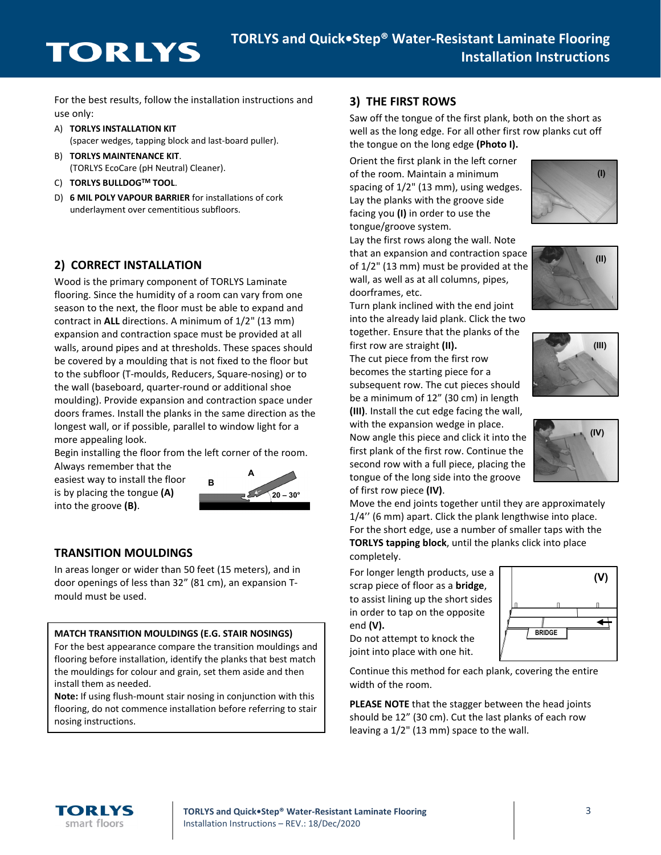# **TORLYS**

For the best results, follow the installation instructions and use only:

- A) **TORLYS INSTALLATION KIT** (spacer wedges, tapping block and last-board puller).
- B) **TORLYS MAINTENANCE KIT**. (TORLYS EcoCare (pH Neutral) Cleaner).
- C) **TORLYS BULLDOGTM TOOL**.
- D) **6 MIL POLY VAPOUR BARRIER** for installations of cork underlayment over cementitious subfloors.

# **2) CORRECT INSTALLATION**

Wood is the primary component of TORLYS Laminate flooring. Since the humidity of a room can vary from one season to the next, the floor must be able to expand and contract in **ALL** directions. A minimum of 1/2" (13 mm) expansion and contraction space must be provided at all walls, around pipes and at thresholds. These spaces should be covered by a moulding that is not fixed to the floor but to the subfloor (T-moulds, Reducers, Square-nosing) or to the wall (baseboard, quarter-round or additional shoe moulding). Provide expansion and contraction space under doors frames. Install the planks in the same direction as the longest wall, or if possible, parallel to window light for a more appealing look.

Begin installing the floor from the left corner of the room.

Always remember that the easiest way to install the floor is by placing the tongue **(A)** into the groove **(B)**.



# **TRANSITION MOULDINGS**

In areas longer or wider than 50 feet (15 meters), and in door openings of less than 32" (81 cm), an expansion Tmould must be used.

#### **MATCH TRANSITION MOULDINGS (E.G. STAIR NOSINGS)**

For the best appearance compare the transition mouldings and flooring before installation, identify the planks that best match the mouldings for colour and grain, set them aside and then install them as needed.

**Note:** If using flush-mount stair nosing in conjunction with this flooring, do not commence installation before referring to stair nosing instructions.

### **3) THE FIRST ROWS**

Saw off the tongue of the first plank, both on the short as well as the long edge. For all other first row planks cut off the tongue on the long edge **(Photo I).**

Orient the first plank in the left corner of the room. Maintain a minimum spacing of 1/2" (13 mm), using wedges. Lay the planks with the groove side facing you **(I)** in order to use the tongue/groove system.

Lay the first rows along the wall. Note that an expansion and contraction space of 1/2" (13 mm) must be provided at the wall, as well as at all columns, pipes, doorframes, etc.

Turn plank inclined with the end joint into the already laid plank. Click the two together. Ensure that the planks of the first row are straight **(II).**

The cut piece from the first row becomes the starting piece for a subsequent row. The cut pieces should be a minimum of 12" (30 cm) in length **(III)**. Install the cut edge facing the wall,

with the expansion wedge in place. Now angle this piece and click it into the first plank of the first row. Continue the second row with a full piece, placing the tongue of the long side into the groove of first row piece **(IV)**.

Move the end joints together until they are approximately 1/4'' (6 mm) apart. Click the plank lengthwise into place. For the short edge, use a number of smaller taps with the **TORLYS tapping block**, until the planks click into place completely.

For longer length products, use a scrap piece of floor as a **bridge**, to assist lining up the short sides in order to tap on the opposite end **(V).**

Do not attempt to knock the joint into place with one hit.



Continue this method for each plank, covering the entire width of the room.

**PLEASE NOTE** that the stagger between the head joints should be 12" (30 cm). Cut the last planks of each row leaving a 1/2" (13 mm) space to the wall.